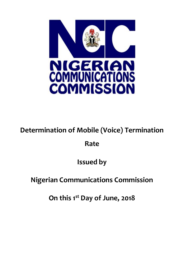

# **Determination of Mobile (Voice) Termination**

### **Rate**

## **Issued by**

## **Nigerian Communications Commission**

**On this 1 st Day of June, 2018**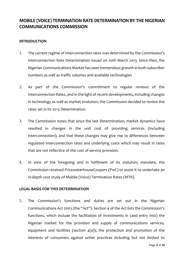### **MOBILE (VOICE) TERMINATIONRATE DETERMINATION BY THE NIGERIAN COMMUNICATIONS COMMISSION**

#### **INTRODUCTION**

- 1. The current regime of interconnection rates was determined by the Commission's Interconnection Rate Determination issued on 20th March 2013. Since then, the Nigerian Communications Market has seen tremendous growth in both subscriber numbers as well as traffic volumes and available technologies
- 2. As part of the Commission's commitment to regular reviews of the Interconnection Rates, and in the light of recent developments, including changes in technology as well as market evolution, the Commission decided to review the rates set in its 2013 Determination.
- 3. The Commission notes that since the last Determination, market dynamics have resulted in changes in the unit cost of providing services (including interconnection), and that these changes may give rise to differences between regulated interconnection rates and underlying costs which may result in rates that are not reflective of the cost of service provision.
- 4. In view of the foregoing and in fulfilment of its statutory mandate, the Commission retained PricewaterhouseCoopers (PwC) to assist it to undertake an in-depth cost study of Mobile (Voice) Termination Rates (MTR).

#### **LEGAL BASIS FOR THIS DETERMINATION**

5. The Commission's functions and duties are set out in the Nigerian Communications Act 2003 (the "Act"). Section 4 of the Act lists the Commission's functions, which include the facilitation of investments in (and entry into) the Nigerian market for the provision and supply of communications services, equipment and facilities (section  $4(a)$ ); the protection and promotion of the interests of consumers against unfair practices including but not limited to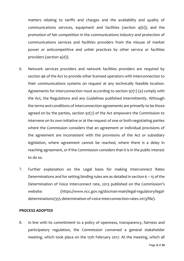matters relating to tariffs and charges and the availability and quality of communications services, equipment and facilities (section 4(b)); and the promotion of fair competition in the communications industry and protection of communications services and facilities providers from the misuse of market power or anticompetitive and unfair practices by other service or facilities providers (section 4(d)).

- 6. Network services providers and network facilities providers are required by section 96 of the Act to provide other licensed operators with interconnection to their communications systems on request at any technically feasible location. Agreements for interconnection must according to section 97(1) (a) comply with the Act, the Regulations and any Guidelines published intermittently. Although the terms and conditions of interconnection agreements are primarily to be those agreed on by the parties, section 97(2) of the Act empowers the Commission to intervene on its own initiative or at the request of one or both negotiating parties where the Commission considers that an agreement or individual provisions of the agreement are inconsistent with the provisions of the Act or subsidiary legislation, where agreement cannot be reached, where there is a delay in reaching agreement, or if the Commission considers that it is in the public interest to do so.
- 7. Further explanation on the Legal basis for making Interconnect Rates Determinations and for setting binding rules are as detailed in section 6 – 15 of the Determination of Voice Interconnect rate, 2013 published on the Commission's website: (https://www.ncc.gov.ng/docman-main/legal-regulatory/legaldeterminations/355-determination-of-voice-interconnection-rates-2013/file).

#### **PROCESS ADOPTED**

8. In line with its commitment to a policy of openness, transparency, fairness and participatory regulation, the Commission convened a general stakeholder meeting, which took place on the 15th February 2017. At the meeting, which all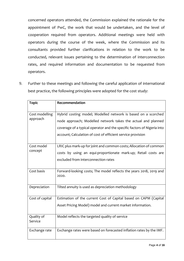concerned operators attended, the Commission explained the rationale for the appointment of PwC, the work that would be undertaken, and the level of cooperation required from operators. Additional meetings were held with operators during the course of the week, where the Commission and its consultants provided further clarifications in relation to the work to be conducted, relevant issues pertaining to the determination of interconnection rates, and required information and documentation to be requested from operators.

9. Further to these meetings and following the careful application of international best practice, the following principles were adopted for the cost study:

| <b>Topic</b>               | Recommendation                                                                                                                                                                                                                                                          |
|----------------------------|-------------------------------------------------------------------------------------------------------------------------------------------------------------------------------------------------------------------------------------------------------------------------|
| Cost modelling<br>approach | Hybrid costing model; Modelled network is based on a scorched<br>node approach; Modelled network takes the actual and planned<br>coverage of a typical operator and the specific factors of Nigeria into<br>account; Calculation of cost of efficient service provision |
| Cost model<br>concept      | LRIC plus mark-up for joint and common costs; Allocation of common<br>costs by using an equi-proportionate mark-up; Retail costs are<br>excluded from interconnection rates                                                                                             |
| Cost basis                 | Forward-looking costs; The model reflects the years 2018, 2019 and<br>2020.                                                                                                                                                                                             |
| Depreciation               | Tilted annuity is used as depreciation methodology                                                                                                                                                                                                                      |
| Cost of capital            | Estimation of the current Cost of Capital based on CAPM (Capital<br>Asset Pricing Model) model and current market information.                                                                                                                                          |
| Quality of<br>Service      | Model reflects the targeted quality of service                                                                                                                                                                                                                          |
| Exchange rate              | Exchange rates were based on forecasted inflation rates by the IMF.                                                                                                                                                                                                     |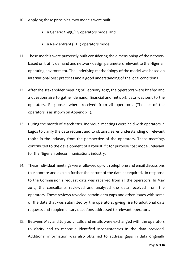- 10. Applying these principles, two models were built:
	- a Generic 2G/3G/4G operators model and
	- a New entrant (LTE) operators model
- 11. These models were purposely built considering the dimensioning of the network based on traffic demand and network design parameters relevant to the Nigerian operating environment. The underlying methodology of the model was based on international best practices and a good understanding of the local conditions.
- 12. After the stakeholder meeting of February 2017, the operators were briefed and a questionnaire to gather demand, financial and network data was sent to the operators. Responses where received from all operators. (The list of the operators is as shown on Appendix 1).
- 13. During the month of March 2017, individual meetings were held with operators in Lagos to clarify the data request and to obtain clearer understanding of relevant topics in the industry from the perspective of the operators. These meetings contributed to the development of a robust, fit for purpose cost model, relevant for the Nigerian telecommunications industry.
- 14. These individual meetings were followed up with telephone and email discussions to elaborate and explain further the nature of the data as required. In response to the Commission's request data was received from all the operators. In May 2017, the consultants reviewed and analysed the data received from the operators. These reviews revealed certain data gaps and other issues with some of the data that was submitted by the operators, giving rise to additional data requests and supplementary questions addressed to relevant operators.
- 15. Between May and July 2017, calls and emails were exchanged with the operators to clarify and to reconcile identified inconsistencies in the data provided. Additional information was also obtained to address gaps in data originally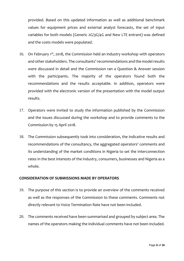provided. Based on this updated information as well as additional benchmark values for equipment prices and external analyst forecasts, the set of input variables for both models (Generic 2G/3G/4G and New LTE entrant) was defined and the costs models were populated.

- 16. On February 1<sup>st</sup>, 2018, the Commission held an industry workshop with operators and other stakeholders. The consultants' recommendations and the model results were discussed in detail and the Commission ran a Question & Answer session with the participants. The majority of the operators found both the recommendations and the results acceptable. In addition, operators were provided with the electronic version of the presentation with the model output results.
- 17. Operators were invited to study the information published by the Commission and the issues discussed during the workshop and to provide comments to the Commission by 15 April 2018.
- 18. The Commission subsequently took into consideration, the indicative results and recommendations of the consultancy, the aggregated operators' comments and its understanding of the market conditions in Nigeria to set the Interconnection rates in the best interests of the industry, consumers, businesses and Nigeria as a whole.

#### **CONSIDERATION OF SUBMISSIONS MADE BY OPERATORS**

- 19. The purpose of this section is to provide an overview of the comments received as well as the responses of the Commission to these comments. Comments not directly relevant to Voice Termination Rate have not been included.
- 20. The comments received have been summarised and grouped by subject area. The names of the operators making the individual comments have not been included.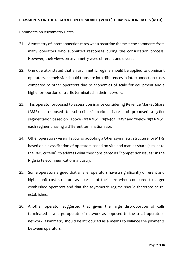#### **COMMENTS ON THE REGULATION OF MOBILE (VOICE) TERMINATION RATES (MTR)**

Comments on Asymmetry Rates

- 21. Asymmetry of Interconnection rates was a recurring theme in the comments from many operators who submitted responses during the consultation process. However, their views on asymmetry were different and diverse.
- 22. One operator stated that an asymmetric regime should be applied to dominant operators, as their size should translate into differences in interconnection costs compared to other operators due to economies of scale for equipment and a higher proportion of traffic terminated in their network.
- 23. This operator proposed to assess dominance considering Revenue Market Share (RMS) as opposed to subscribers' market share and proposed a 3-tier segmentation based on "above 40% RMS", "25%-40% RMS" and "below 25% RMS", each segment having a different termination rate.
- 24. Other operators were in favour of adopting a 3-tier asymmetry structure for MTRs based on a classification of operators based on size and market share (similar to the RMS criteria), to address what they considered as "competition issues" in the Nigeria telecommunications industry.
- 25. Some operators argued that smaller operators have a significantly different and higher unit cost structure as a result of their size when compared to larger established operators and that the asymmetric regime should therefore be reestablished.
- 26. Another operator suggested that given the large disproportion of calls terminated in a large operators' network as opposed to the small operators' network, asymmetry should be introduced as a means to balance the payments between operators.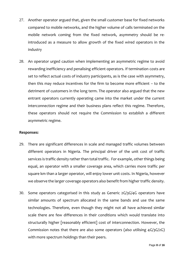- 27. Another operator argued that, given the small customer base for fixed networks compared to mobile networks, and the higher volume of calls terminated on the mobile network coming from the fixed network, asymmetry should be reintroduced as a measure to allow growth of the fixed wired operators in the industry
- 28. An operator urged caution when implementing an asymmetric regime to avoid rewarding inefficiency and penalising efficient operators. If termination costs are set to reflect actual costs of industry participants, as is the case with asymmetry, then this may reduce incentives for the firm to become more efficient – to the detriment of customers in the long term. The operator also argued that the new entrant operators currently operating came into the market under the current interconnection regime and their business plans reflect this regime. Therefore, these operators should not require the Commission to establish a different asymmetric regime.

#### **Responses:**

- 29. There are significant differences in scale and managed traffic volumes between different operators in Nigeria. The principal driver of the unit cost of traffic services is traffic density rather than total traffic. For example, other things being equal, an operator with a smaller coverage area, which carries more traffic per square km than a larger operator, will enjoy lower unit costs. In Nigeria, however we observe the larger coverage operators also benefit from higher traffic density.
- 30. Some operators categorised in this study as Generic 2G/3G/4G operators have similar amounts of spectrum allocated in the same bands and use the same technologies. Therefore, even though they might not all have achieved similar scale there are few differences in their conditions which would translate into structurally higher [reasonably efficient] cost of interconnection. However, the Commission notes that there are also some operators (also utilising 4G/3G/2G) with more spectrum holdings than their peers.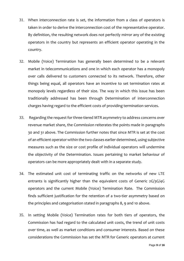- 31. When interconnection rate is set, the information from a class of operators is taken in order to derive the interconnection cost of the representative operator. By definition, the resulting network does not perfectly mirror any of the existing operators in the country but represents an efficient operator operating in the country.
- 32. Mobile (Voice) Termination has generally been determined to be a relevant market in telecommunications and one in which each operator has a monopoly over calls delivered to customers connected to its network. Therefore, other things being equal, all operators have an incentive to set termination rates at monopoly levels regardless of their size. The way in which this issue has been traditionally addressed has been through Determination of interconnection charges having regard to the efficient costs of providing termination services.
- 33. Regarding the request for three-tiered MTR asymmetry to address concerns over revenue market share, the Commission reiterates the points made in paragraphs 30 and 31 above. The Commission further notes that since MTR is set at the cost of an efficient operator within the two classes earlier determined, using subjective measures such as the size or cost profile of individual operators will undermine the objectivity of the Determination. Issues pertaining to market behaviour of operators can be more appropriately dealt with in a separate study.
- 34. The estimated unit cost of terminating traffic on the networks of new LTE entrants is significantly higher than the equivalent costs of Generic 2G/3G/4G operators and the current Mobile (Voice) Termination Rate. The Commission finds sufficient justification for the retention of a two-tier asymmetry based on the principles and categorisation stated in paragraphs 8, 9 and 10 above.
- 35. In setting Mobile (Voice) Termination rates for both tiers of operators, the Commission has had regard to the calculated unit costs, the trend of unit costs over time, as well as market conditions and consumer interests. Based on these considerations the Commission has set the MTR for Generic operators at current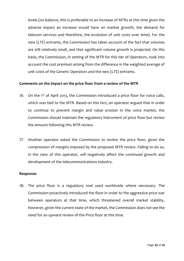levels (on balance, this is preferable to an increase of MTRs at this time given the adverse impact an increase would have on market growth, the demand for telecom services and therefore, the evolution of unit costs over time). For the new (LTE) entrants, the Commission has taken account of the fact that volumes are still relatively small, and that significant volume growth is projected. On this basis, the Commission, in setting of the MTR for this tier of Operators, took into account the cost premium arising from the difference in the weighted average of unit costs of the Generic Operators and the new (LTE) entrants.

#### **Comments on the impact on the price floor from a review of the MTR**

- 36. On the  $1<sup>st</sup>$  of April 2013, the Commission introduced a price floor for voice calls, which was tied to the MTR. Based on this fact, an operator argued that in order to continue to prevent margin and value erosion in the voice market, the Commission should maintain the regulatory instrument of price floor but review the amount following this MTR review.
- 37. Another operator asked the Commission to review the price floor, given the compression of margins imposed by the proposed MTR review. Failing to do so, in the view of this operator, will negatively affect the continued growth and development of the telecommunications industry.

#### **Response:**

38. The price floor is a regulatory tool used worldwide where necessary. The Commission proactively introduced the floor in order to the aggressive price war between operators at that time, which threatened overall market stability. However, given the current state of the market, the Commission does not see the need for an upward review of the Price floor at this time.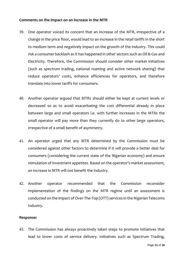#### **Comments on the impact on an increase in the MTR**

- 39. One operator voiced its concern that an increase of the MTR, irrespective of a change in the price floor, would lead to an increase in the retail tariffs in the short to medium term and negatively impact on the growth of the industry. This could risk a consumer backlash as it has happened in other sectors such as Oil & Gas and Electricity. Therefore, the Commission should consider other market initiatives (such as spectrum trading, national roaming and active network sharing) that reduce operators' costs, enhance efficiencies for operators, and therefore translate into lower tariffs for consumers.
- 40. Another operator argued that MTRs should either be kept at current levels or decreased so as to avoid exacerbating the cost differential already in place between large and small operators i.e. with further increases in the MTRs the small operator will pay more than they currently do to other large operators, irrespective of a small benefit of asymmetry.
- 41. An operator urged that any MTR determined by the Commission must be considered against other factors to determine if it will provide a better deal for consumers (considering the current state of the Nigerian economy) and ensure stimulation of investment appetites. Based on the operator's market assessment, an increase in MTR will not benefit the industry.
- 42. Another operator recommended that the Commission reconsider implementation of the findings on the MTR regime until an assessment is conducted on the impact of Over-The-Top (OTT) services in the Nigerian Telecoms Industry.

#### **Response:**

43. The Commission has always proactively taken steps to promote initiatives that lead to lower costs of service delivery. Initiatives such as Spectrum Trading,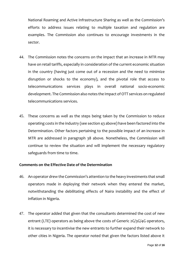National Roaming and Active Infrastructure Sharing as well as the Commission's efforts to address issues relating to multiple taxation and regulation are examples. The Commission also continues to encourage investments in the sector.

- 44. The Commission notes the concerns on the impact that an increase in MTR may have on retail tariffs, especially in consideration of the current economic situation in the country (having just come out of a recession and the need to minimize disruption or shocks to the economy), and the pivotal role that access to telecommunications services plays in overall national socio-economic development. The Commission also notes the Impact of OTT services on regulated telecommunications services.
- 45. These concerns as well as the steps being taken by the Commission to reduce operating costs in the industry (see section 43 above) have been factored into the Determination. Other factors pertaining to the possible impact of an increase in MTR are addressed in paragraph 38 above. Nonetheless, the Commission will continue to review the situation and will implement the necessary regulatory safeguards from time to time.

#### **Comments on the Effective Date of the Determination**

- 46. An operator drew the Commission's attention to the heavy investments that small operators made in deploying their network when they entered the market, notwithstanding the debilitating effects of Naira instability and the effect of inflation in Nigeria.
- 47. The operator added that given that the consultants determined the cost of new entrant (LTE) operators as being above the costs of Generic 2G/3G/4G operators, it is necessary to incentivise the new entrants to further expand their network to other cities in Nigeria. The operator noted that given the factors listed above it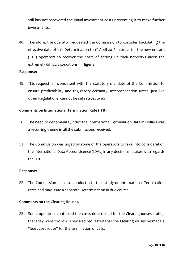still has not recovered the initial investment costs preventing it to make further investments.

48. Therefore, the operator requested the Commission to consider backdating the effective date of this Determination to 1<sup>st</sup> April 2016 in order for the new entrant (LTE) operators to recover the costs of setting up their networks given the extremely difficult conditions in Nigeria.

#### **Response:**

49. This request is inconsistent with the statutory mandate of the Commission to ensure predictability and regulatory certainty. Interconnection Rates, just like other Regulations, cannot be set retroactively.

#### **Comments on International Termination Rate (ITR)**

- 50. The need to denominate /Index the International Termination Rate in Dollars was a recurring theme in all the submissions received.
- 51. The Commission was urged by some of the operators to take into consideration the International Data Access Licence (IDAs) in any decisions it takes with regards the ITR.

#### **Response:**

52. The Commission plans to conduct a further study on International Termination rates and may issue a separate Determination in due course.

#### **Comments on the Clearing Houses.**

53. Some operators contested the costs determined for the Clearinghouses stating that they were too low. They also requested that the Clearinghouses be made a "least cost route" for the termination of calls.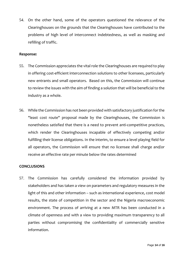54. On the other hand, some of the operators questioned the relevance of the Clearinghouses on the grounds that the Clearinghouses have contributed to the problems of high level of interconnect indebtedness, as well as masking and refilling of traffic.

#### **Response:**

- 55. The Commission appreciates the vital role the Clearinghouses are required to play in offering cost-efficient interconnection solutions to other licensees, particularly new entrants and small operators. Based on this, the Commission will continue to review the issues with the aim of finding a solution that will be beneficial to the industry as a whole.
- 56. While the Commission has not been provided with satisfactory justification for the "least cost route" proposal made by the Clearinghouses, the Commission is nonetheless satisfied that there is a need to prevent anti-competitive practices, which render the Clearinghouses incapable of effectively competing and/or fulfilling their license obligations. In the interim, to ensure a level playing field for all operators, the Commission will ensure that no licensee shall charge and/or receive an effective rate per minute below the rates determined

#### **CONCLUSIONS**

57. The Commission has carefully considered the information provided by stakeholders and has taken a view on parameters and regulatory measures in the light of this and other information – such as international experience, cost model results, the state of competition in the sector and the Nigeria macroeconomic environment. The process of arriving at a new MTR has been conducted in a climate of openness and with a view to providing maximum transparency to all parties without compromising the confidentiality of commercially sensitive information.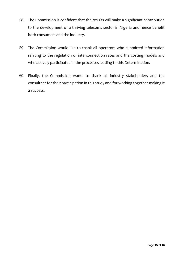- 58. The Commission is confident that the results will make a significant contribution to the development of a thriving telecoms sector in Nigeria and hence benefit both consumers and the industry.
- 59. The Commission would like to thank all operators who submitted information relating to the regulation of interconnection rates and the costing models and who actively participated in the processes leading to this Determination.
- 60. Finally, the Commission wants to thank all industry stakeholders and the consultant for their participation in this study and for working together making it a success.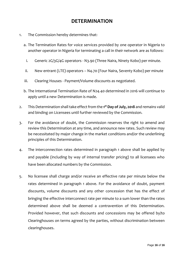### **DETERMINATION**

- 1. The Commission hereby determines that:
	- a. The Termination Rates for voice services provided by one operator in Nigeria to another operator in Nigeria for terminating a call in their network are as follows:
		- i. Generic 2G/3G/4G operators N3.90 (Three Naira, Ninety Kobo) per minute.
	- ii. New entrant (LTE) operators N4.70 (Four Naira, Seventy Kobo) per minute
	- iii. Clearing Houses Payment/Volume discounts as negotiated.
	- b. The International Termination Rate of N24.40 determined in 2016 will continue to apply until a new Determination is made.
- 2. This Determination shall take effect from the **1 st Day of July, 2018** and remains valid and binding on Licensees until further reviewed by the Commission.
- 3. For the avoidance of doubt, the Commission reserves the right to amend and review this Determination at any time, and announce new rates. Such review may be necessitated by major change in the market conditions and/or the underlining principles of this Determination.
- 4. The interconnection rates determined in paragraph 1 above shall be applied by and payable (including by way of internal transfer pricing) to all licensees who have been allocated numbers by the Commission.
- 5. No licensee shall charge and/or receive an effective rate per minute below the rates determined in paragraph 1 above. For the avoidance of doubt, payment discounts, volume discounts and any other concession that has the effect of bringing the effective interconnect rate per minute to a sum lower than the rates determined above shall be deemed a contravention of this Determination. Provided however, that such discounts and concessions may be offered by/to Clearinghouses on terms agreed by the parties, without discrimination between clearinghouses.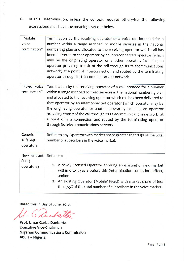In this Determination, unless the context requires otherwise, the following 6. expressions shall have the meanings set out below.

| "Mobile<br>voice<br>termination"   | Termination by the receiving operator of a voice call intended for a<br>number within a range ascribed to mobile services in the national<br>numbering plan and allocated to the receiving operator which call has<br>been delivered to that operator by an interconnected operator (which<br>may be the originating operator or another operator, including an<br>operator providing transit of the call through its telecommunications<br>network) at a point of interconnection and routed by the terminating<br>operator through its telecommunications network.   |
|------------------------------------|------------------------------------------------------------------------------------------------------------------------------------------------------------------------------------------------------------------------------------------------------------------------------------------------------------------------------------------------------------------------------------------------------------------------------------------------------------------------------------------------------------------------------------------------------------------------|
| "Fixed voice<br>termination"       | Termination by the receiving operator of a call intended for a number<br>within a range ascribed to fixed services in the national numbering plan<br>and allocated to the receiving operator which call has been delivered to<br>that operator by an interconnected operator (which operator may be<br>the originating operator or another operator, including an operator<br>providing transit of the call through its telecommunications network) at<br>a point of interconnection and routed by the terminating operator<br>through its telecommunications network. |
| Generic<br>2G/3G/4G<br>operators   | Refers to any Operator with market share greater than 7.5% of the total<br>number of subscribers in the voice market.                                                                                                                                                                                                                                                                                                                                                                                                                                                  |
| New entrant<br>(LTE)<br>operators) | Refers to:<br>1. A newly licensed Operator entering an existing or new market<br>within o to 3 years before this Determination comes into effect,<br>and/or<br>2. An existing Operator (Mobile/ Fixed) with market share of less<br>than 7.5% of the total number of subscribers in the voice market.                                                                                                                                                                                                                                                                  |

Dated this 1st Day of June, 2018.

 $\overline{ }$ 

Prof. Umar Garba Danbatta **Executive Vice-Chairman Nigerian Communications Commission** Abuja - Nigeria